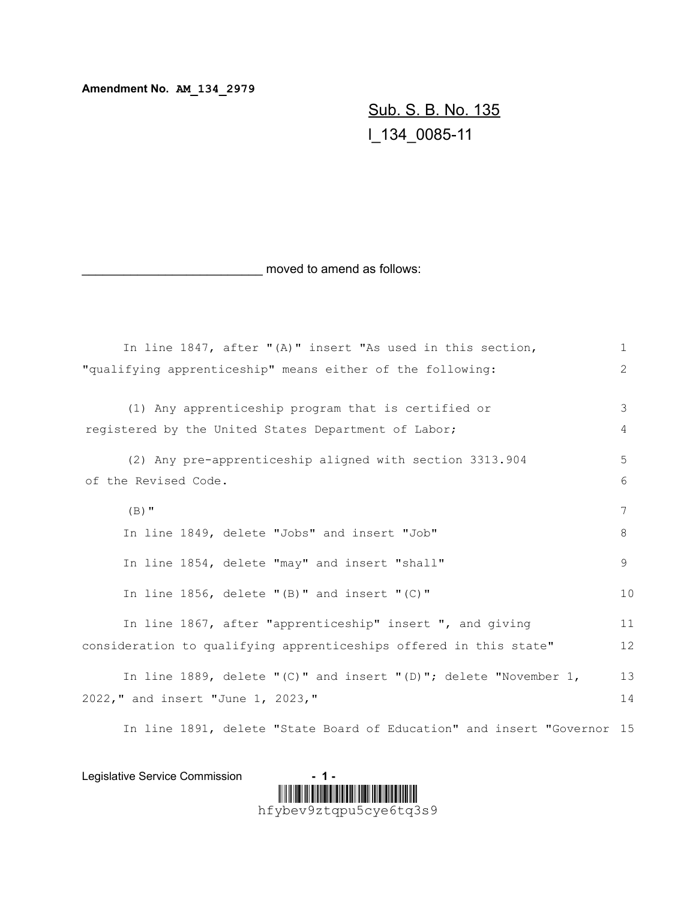**Amendment No. AM\_134\_2979**

Sub. S. B. No. 135 l\_134\_0085-11

moved to amend as follows:

| In line 1847, after "(A)" insert "As used in this section,          | $\mathbf{1}$   |
|---------------------------------------------------------------------|----------------|
| "qualifying apprenticeship" means either of the following:          | $\overline{2}$ |
|                                                                     |                |
| (1) Any apprenticeship program that is certified or                 | 3              |
| registered by the United States Department of Labor;                | 4              |
| (2) Any pre-apprenticeship aligned with section 3313.904            | 5              |
| of the Revised Code.                                                | 6              |
| $(B)$ "                                                             | 7              |
| In line 1849, delete "Jobs" and insert "Job"                        | 8              |
| In line 1854, delete "may" and insert "shall"                       | 9              |
| In line $1856$ , delete "(B)" and insert "(C)"                      | 10             |
| In line 1867, after "apprenticeship" insert ", and giving           | 11             |
| consideration to qualifying apprenticeships offered in this state"  | 12             |
| In line 1889, delete "(C)" and insert "(D)"; delete "November $1$ , | 13             |
| 2022," and insert "June 1, 2023,"                                   | 14             |
|                                                                     |                |

In line 1891, delete "State Board of Education" and insert "Governor 15

Legislative Service Commission **- 1 -**